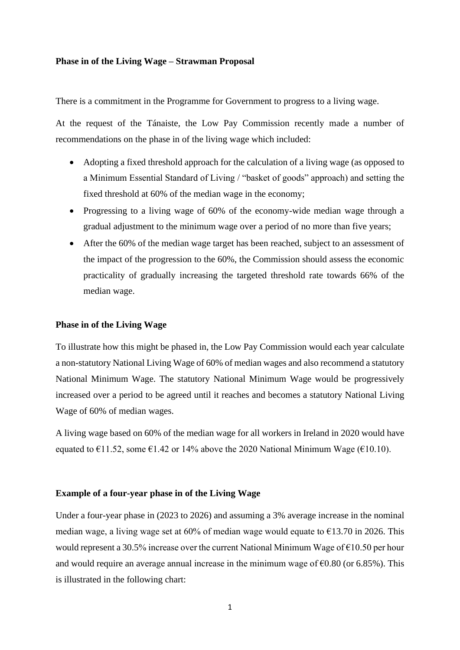## **Phase in of the Living Wage – Strawman Proposal**

There is a commitment in the Programme for Government to progress to a living wage.

At the request of the Tánaiste, the Low Pay Commission recently made a number of recommendations on the phase in of the living wage which included:

- Adopting a fixed threshold approach for the calculation of a living wage (as opposed to a Minimum Essential Standard of Living / "basket of goods" approach) and setting the fixed threshold at 60% of the median wage in the economy;
- Progressing to a living wage of 60% of the economy-wide median wage through a gradual adjustment to the minimum wage over a period of no more than five years;
- After the 60% of the median wage target has been reached, subject to an assessment of the impact of the progression to the 60%, the Commission should assess the economic practicality of gradually increasing the targeted threshold rate towards 66% of the median wage.

## **Phase in of the Living Wage**

To illustrate how this might be phased in, the Low Pay Commission would each year calculate a non-statutory National Living Wage of 60% of median wages and also recommend a statutory National Minimum Wage. The statutory National Minimum Wage would be progressively increased over a period to be agreed until it reaches and becomes a statutory National Living Wage of 60% of median wages.

A living wage based on 60% of the median wage for all workers in Ireland in 2020 would have equated to  $\epsilon$ 11.52, some  $\epsilon$ 1.42 or 14% above the 2020 National Minimum Wage ( $\epsilon$ 10.10).

## **Example of a four-year phase in of the Living Wage**

Under a four-year phase in (2023 to 2026) and assuming a 3% average increase in the nominal median wage, a living wage set at 60% of median wage would equate to  $\epsilon$ 13.70 in 2026. This would represent a 30.5% increase over the current National Minimum Wage of  $\epsilon$ 10.50 per hour and would require an average annual increase in the minimum wage of  $\epsilon$ 0.80 (or 6.85%). This is illustrated in the following chart: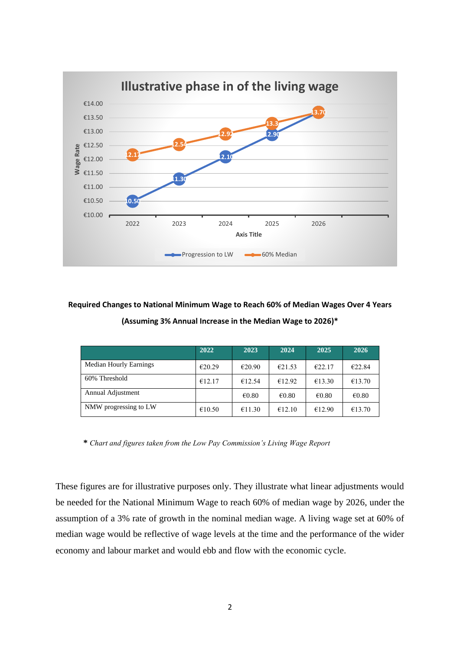

**Required Changes to National Minimum Wage to Reach 60% of Median Wages Over 4 Years (Assuming 3% Annual Increase in the Median Wage to 2026)\***

|                               | 2022   | 2023            | 2024            | 2025            | 2026            |
|-------------------------------|--------|-----------------|-----------------|-----------------|-----------------|
| <b>Median Hourly Earnings</b> | €20.29 | €20.90          | €21.53          | €22.17          | €22.84          |
| 60% Threshold                 | €12.17 | €12.54          | €12.92          | €13.30          | €13.70          |
| Annual Adjustment             |        | $\epsilon$ 0.80 | $\epsilon$ 0.80 | $\epsilon$ 0.80 | $\epsilon$ 0.80 |
| NMW progressing to LW         | €10.50 | €11.30          | €12.10          | €12.90          | €13.70          |

**\*** *Chart and figures taken from the Low Pay Commission's Living Wage Report*

These figures are for illustrative purposes only. They illustrate what linear adjustments would be needed for the National Minimum Wage to reach 60% of median wage by 2026, under the assumption of a 3% rate of growth in the nominal median wage. A living wage set at 60% of median wage would be reflective of wage levels at the time and the performance of the wider economy and labour market and would ebb and flow with the economic cycle.